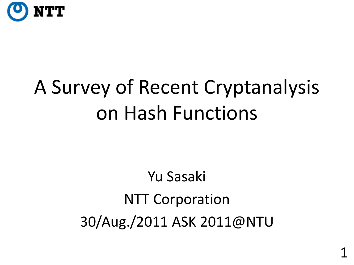

# A Survey of Recent Cryptanalysis on Hash Functions

#### Yu Sasaki NTT Corporation 30/Aug./2011 ASK 2011@NTU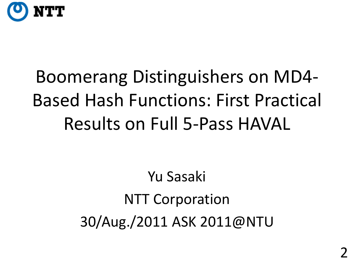

## Boomerang Distinguishers on MD4- Based Hash Functions: First Practical Results on Full 5-Pass HAVAL

Yu Sasaki NTT Corporation 30/Aug./2011 ASK 2011@NTU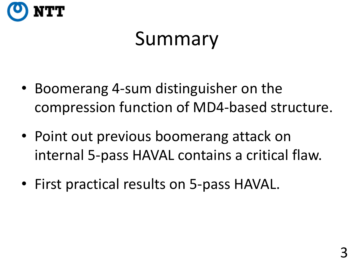

## Summary

- Boomerang 4-sum distinguisher on the compression function of MD4-based structure.
- Point out previous boomerang attack on internal 5-pass HAVAL contains a critical flaw.
- First practical results on 5-pass HAVAL.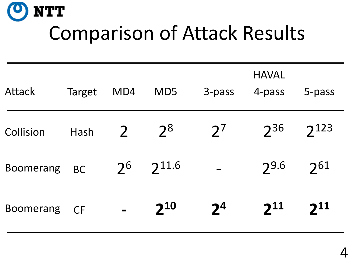

## Comparison of Attack Results

| <b>Attack</b>    | Target    | MD4                          | MD5        | 3-pass         | <b>HAVAL</b><br>4-pass | 5-pass    |
|------------------|-----------|------------------------------|------------|----------------|------------------------|-----------|
| Collision        | Hash      | $\overline{2}$               | $2^8$      | $2^7$          | $2^{36}$               | $2^{123}$ |
| <b>Boomerang</b> | <b>BC</b> | 2 <sup>6</sup>               | $2^{11.6}$ |                | 29.6                   | 261       |
| <b>Boomerang</b> | <b>CF</b> | $\qquad \qquad \blacksquare$ | $2^{10}$   | 2 <sup>4</sup> | $2^{11}$               | $2^{11}$  |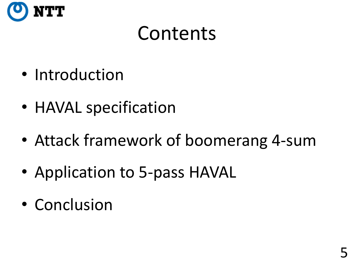

#### Contents

- Introduction
- HAVAL specification
- Attack framework of boomerang 4-sum
- Application to 5-pass HAVAL
- Conclusion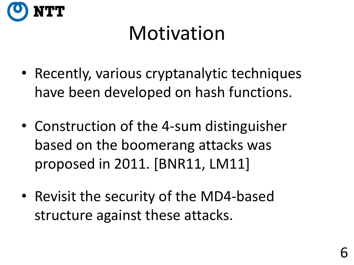

## Motivation

- Recently, various cryptanalytic techniques have been developed on hash functions.
- Construction of the 4-sum distinguisher based on the boomerang attacks was proposed in 2011. [BNR11, LM11]
- Revisit the security of the MD4-based structure against these attacks.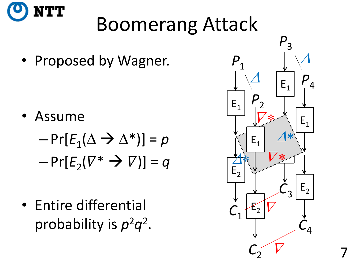

## Boomerang Attack

• Proposed by Wagner.

• Assume

$$
-Pr[E_1(\Delta \to \Delta^*)] = p
$$
  
-Pr[E\_2(\nabla^\* \to \nabla)] = q

• Entire differential probability is  $p^2q^2$ .

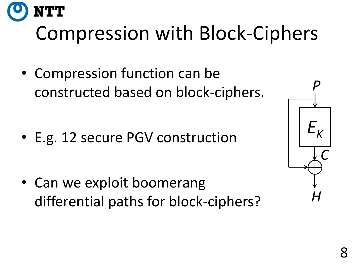# Compression with Block-Ciphers

• Compression function can be constructed based on block-ciphers.

• E.g. 12 secure PGV construction

• Can we exploit boomerang differential paths for block-ciphers?

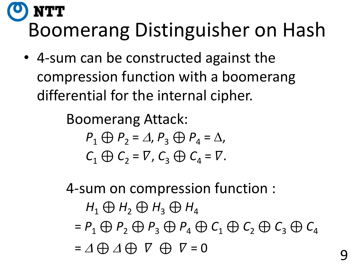#### NTT Boomerang Distinguisher on Hash

• 4-sum can be constructed against the compression function with a boomerang differential for the internal cipher.

> Boomerang Attack:  $P_1 \bigoplus P_2 = \Delta$ ,  $P_3 \bigoplus P_4 = \Delta$ ,  $C_1 \oplus C_2 = \nabla$ ,  $C_3 \oplus C_4 = \nabla$ .

4-sum on compression function :

 $H_1 \oplus H_2 \oplus H_3 \oplus H_4$  $= P_1 \oplus P_2 \oplus P_3 \oplus P_4 \oplus C_1 \oplus C_2 \oplus C_3 \oplus C_4$  $= \Delta \bigoplus \Delta \bigoplus \nabla$   $\bigoplus \nabla = 0$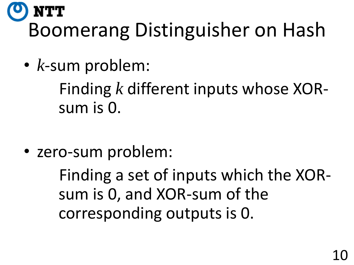#### NTT Boomerang Distinguisher on Hash

• *k*-sum problem:

Finding *k* different inputs whose XORsum is 0.

• zero-sum problem:

Finding a set of inputs which the XORsum is 0, and XOR-sum of the corresponding outputs is 0.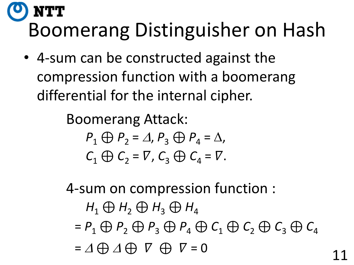#### NTT Boomerang Distinguisher on Hash

• 4-sum can be constructed against the compression function with a boomerang differential for the internal cipher.

> Boomerang Attack:  $P_1 \bigoplus P_2 = \Delta$ ,  $P_3 \bigoplus P_4 = \Delta$ ,  $C_1 \oplus C_2 = \nabla$ ,  $C_3 \oplus C_4 = \nabla$ .

4-sum on compression function :

 $H_1 \oplus H_2 \oplus H_3 \oplus H_4$  $= P_1 \oplus P_2 \oplus P_3 \oplus P_4 \oplus C_1 \oplus C_2 \oplus C_3 \oplus C_4$  $= \Delta \bigoplus \Delta \bigoplus \nabla$   $\bigoplus \nabla = 0$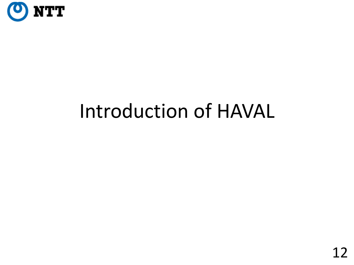

### Introduction of HAVAL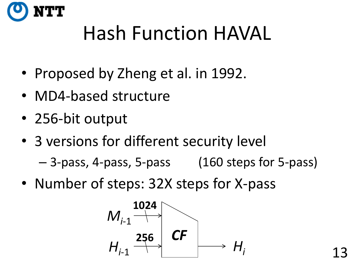

## Hash Function HAVAL

- Proposed by Zheng et al. in 1992.
- MD4-based structure
- 256-bit output
- 3 versions for different security level

– 3-pass, 4-pass, 5-pass (160 steps for 5-pass)

• Number of steps: 32X steps for X-pass

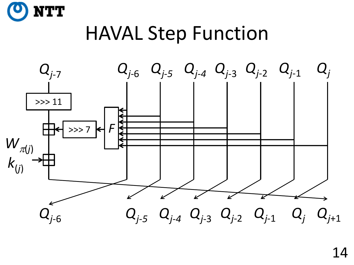

#### HAVAL Step Function

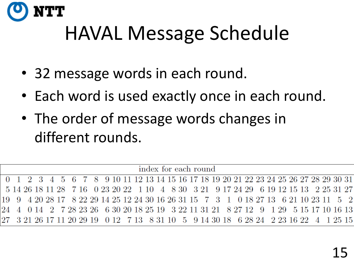

## HAVAL Message Schedule

- 32 message words in each round.
- Each word is used exactly once in each round.
- The order of message words changes in different rounds.

index for each round  $\Omega$  $\mathcal{R}$ 9 10 11 12 13 14 15 16 17 18 19 20 21 22 23 24 25 26 27 28 29 30 31 8 9 17 24 29 6 19 12 15 13 14 26 18 11 28  $7.16$ 0 23 20 22 1 10  $\mathcal{A}$ 8.30 3 21 2 25 31  $5^{\circ}$ 3 8 22 29 14 25 12 24 30 16 26 31 15 7 4 20 28 17 0 18 27 13 6 21 10 23 11 19 Q 6 30 20 18 25 19 24 7 28 23 26 3 22 11 31 21 8 27 12 - 9 1 29 5 15 17 10 16 13 0 12 7 13 8 31 10 5 9 14 30 18 6 28 24 2 23 16 22 3 21 26 17 11 20 29 19 1 25 15  $\overline{4}$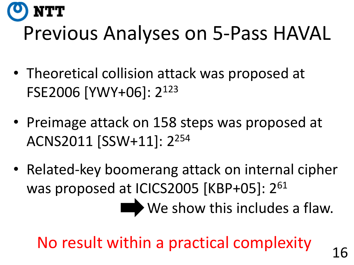

## Previous Analyses on 5-Pass HAVAL

- Theoretical collision attack was proposed at FSE2006 [YWY+06]: 2<sup>123</sup>
- Preimage attack on 158 steps was proposed at ACNS2011 [SSW+11]: 2<sup>254</sup>
- Related-key boomerang attack on internal cipher was proposed at ICICS2005 [KBP+05]: 2<sup>61</sup>

We show this includes a flaw.

No result within a practical complexity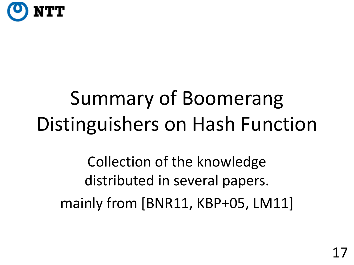

# Summary of Boomerang Distinguishers on Hash Function

Collection of the knowledge distributed in several papers. mainly from [BNR11, KBP+05, LM11]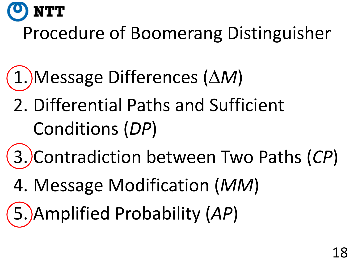

#### Procedure of Boomerang Distinguisher

- 1. Message Differences (D*M*)
	- 2. Differential Paths and Sufficient Conditions (*DP*)
- 3. Contradiction between Two Paths (*CP*)
- 4. Message Modification (*MM*)
- 5. Amplified Probability (*AP*)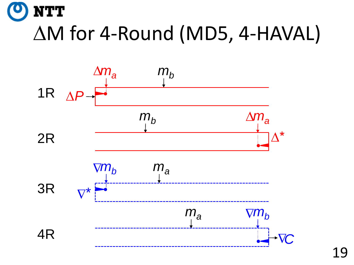

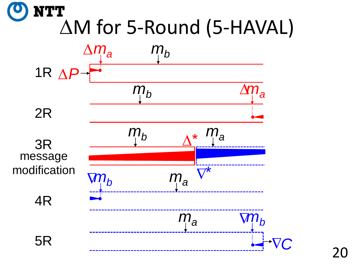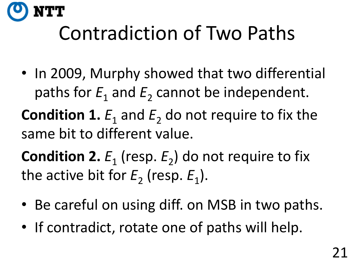

# Contradiction of Two Paths

• In 2009, Murphy showed that two differential paths for  $E_1$  and  $E_2$  cannot be independent.

**Condition 1.**  $E_1$  and  $E_2$  do not require to fix the same bit to different value.

**Condition 2.**  $E_1$  (resp.  $E_2$ ) do not require to fix the active bit for  $E_2$  (resp.  $E_1$ ).

- Be careful on using diff. on MSB in two paths.
- If contradict, rotate one of paths will help.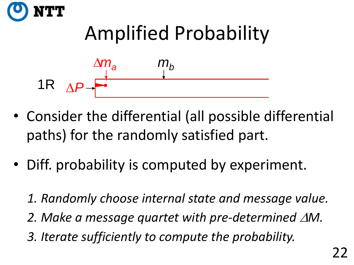



- Consider the differential (all possible differential paths) for the randomly satisfied part.
- Diff. probability is computed by experiment.
	- *1. Randomly choose internal state and message value.* 2. Make a message quartet with pre-determined  $\Delta M$ . *3. Iterate sufficiently to compute the probability.*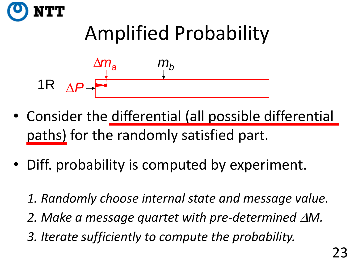



- Consider the differential (all possible differential paths) for the randomly satisfied part.
- Diff. probability is computed by experiment.
	- *1. Randomly choose internal state and message value.* 2. Make a message quartet with pre-determined  $\Delta M$ . *3. Iterate sufficiently to compute the probability.*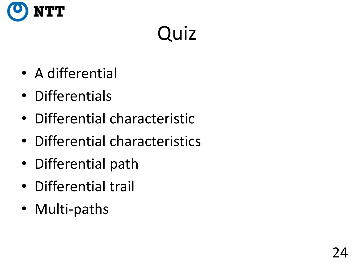

# Quiz

- A differential
- Differentials
- Differential characteristic
- Differential characteristics
- Differential path
- Differential trail
- Multi-paths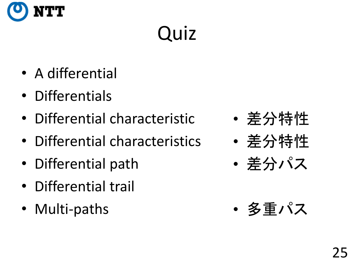

# Quiz

- A differential
- Differentials
- Differential characteristic
- Differential characteristics
- Differential path
- Differential trail
- Multi-paths
- 差分特性
- 差分特性
- 差分パス
- 多重パス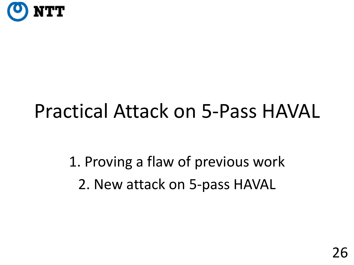

### Practical Attack on 5-Pass HAVAL

1. Proving a flaw of previous work 2. New attack on 5-pass HAVAL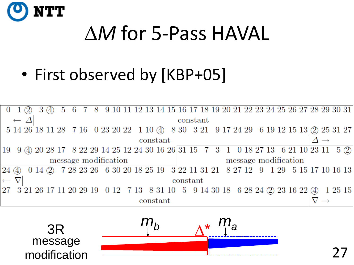

## AM for 5-Pass HAVAL

#### • First observed by [KBP+05]



∆\* 3R *<sup>m</sup><sup>b</sup> <sup>m</sup><sup>a</sup>* message modification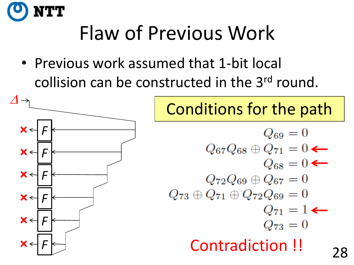

# Flaw of Previous Work

• Previous work assumed that 1-bit local collision can be constructed in the 3<sup>rd</sup> round.



#### Conditions for the path

$$
Q_{69} = 0
$$
  
\n
$$
Q_{67}Q_{68} \oplus Q_{71} = 0 \leftarrow
$$
  
\n
$$
Q_{68} = 0 \leftarrow
$$
  
\n
$$
Q_{72}Q_{69} \oplus Q_{67} = 0
$$
  
\n
$$
Q_{73} \oplus Q_{71} \oplus Q_{72}Q_{69} = 0
$$
  
\n
$$
Q_{71} = 1 \leftarrow
$$
  
\n
$$
Q_{73} = 0
$$
  
\n**Contradiction**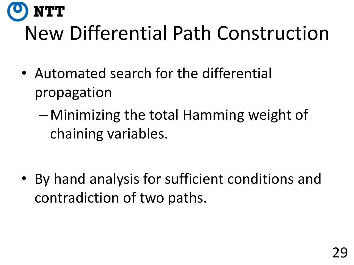# New Differential Path Construction

• Automated search for the differential propagation

TT

– Minimizing the total Hamming weight of chaining variables.

• By hand analysis for sufficient conditions and contradiction of two paths.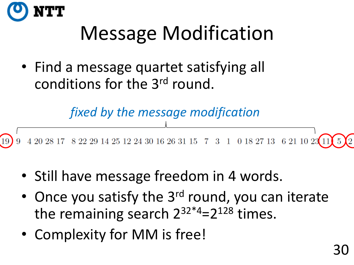

# Message Modification

• Find a message quartet satisfying all conditions for the 3rd round.

*fixed by the message modification*

 $4\ 20\ 28\ 17\quad 8\ 22\ 29\ 14\ 25\ 12\ 24\ 30\ 16\ 26\ 31\ 15\quad 7\quad 3\quad 1\quad 0\ 18\ 27\ 13\quad 6\ 21\ 10\ 23\boxed{11}$ 

- Still have message freedom in 4 words.
- Once you satisfy the 3<sup>rd</sup> round, you can iterate the remaining search  $2^{32*4}=2^{128}$  times.
- Complexity for MM is free!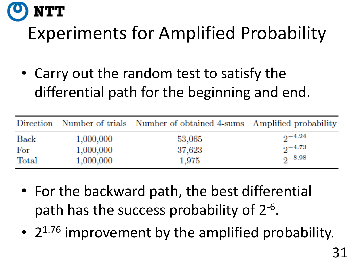## TT Experiments for Amplified Probability

• Carry out the random test to satisfy the differential path for the beginning and end.

|       |           | Direction Number of trials Number of obtained 4-sums Amplified probability |                 |
|-------|-----------|----------------------------------------------------------------------------|-----------------|
| Back  | 1,000,000 | 53,065                                                                     | $2^{-4.24}$     |
| For   | 1,000,000 | 37,623                                                                     | $2^{\sim}$ 4.73 |
| Total | 1,000,000 | 1,975                                                                      | $2^{-8.98}$     |

- For the backward path, the best differential path has the success probability of 2<sup>-6</sup>.
- 2<sup>1.76</sup> improvement by the amplified probability.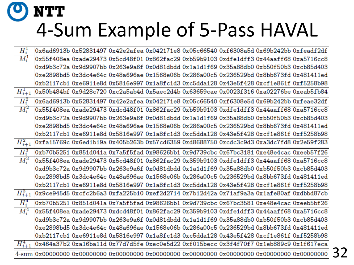#### NTT 4-Sum Example of 5-Pass HAVAL

| $H_i^1$     |  |  | 0x6ad6913b 0x52831497 0x42e2afea 0x042171e8 0x05c66540 0xf6308a5d 0x69b242bb 0xfeadf2df |  |
|-------------|--|--|-----------------------------------------------------------------------------------------|--|
| $M_i^1$     |  |  | 0x55f408ea 0xade29473 0x5cd48f01 0x862fac29 0xb59b9103 0xdfe1dff3 0x44aaff68 0xa5716cc8 |  |
|             |  |  | 0xd9b3c72a 0x9d9907bb 0x263e9a6f 0x0d81dbdd 0x1a1d1f69 0x35a88db0 0xb50f50b3 0xcb85d403 |  |
|             |  |  | 0xe2898bd5 0x3dc4e64c 0x48a696ae 0x1568e06b 0x286a00c5 0x236529bd 0x8bb673fd 0x481411ed |  |
|             |  |  | 0xb2117cb1 0xe6911e8d 0x5816e997 0x1a8fc1d3 0xc5dda128 0x43e5f428 0xcf1e861f 0xf5258b98 |  |
| $H_{i+1}^1$ |  |  | 0x50b484bf 0x9d28c720 0xc2a5ab4d 0x5aec2d4b 0x63659cae 0x0023f316 0xa02276be 0xeab5fb84 |  |
| $H_i^2$     |  |  | 0x6ad6913b 0x52831497 0x42e2afea 0x042171e8 0x05c66540 0xf6308e5d 0x69b242bb 0xfeae32df |  |
| $M_i^2$     |  |  | 0x55f408ea 0xade29473 0xdcd48f01 0x862fac29 0xb59b9103 0xdfe1dff3 0x44aaff68 0xa5716cc8 |  |
|             |  |  | 0xd9b3c72a 0x9d9907bb 0x263e9a6f 0x0d81dbdd 0x1a1d1f69 0x35a88db0 0xb50f50b3 0xcb85d403 |  |
|             |  |  | 0xe2898bd5 0x3dc4e64c 0x48a696ae 0x1568e06b 0x286a00c5 0x236529bd 0x8bb673fd 0x481411ed |  |
|             |  |  | 0xb2117cb1 0xe6911e8d 0x5816e997 0x1a8fc1d3 0xc5dda128 0x43e5f428 0xcf1e861f 0xf5258b98 |  |
| $H_{i+1}^2$ |  |  | 0xfa15769c 0x6ed1b19a 0x405b263b 0x57cd6359 0xd8688750 0xcdc3c9d3 0xa3dc7fd8 0x2e59f283 |  |
| $H_i^3$     |  |  | 0xb70b5251 0x851d041a 0x7a5f5fad 0x98626bb1 0x9d739cbc 0x67bc3181 0xe48e4cac 0xeeb57f26 |  |
| $M_i^3$     |  |  | 0x55f408ea 0xade29473 0x5cd48f01 0x862fac29 0x359b9103 0xdfe1dff3 0x44aaff68 0xa5716cc8 |  |
|             |  |  | 0xd9b3c72a 0x9d9907bb 0x263e9a6f 0x0d81dbdd 0x1a1d1f69 0x35a88db0 0xb50f50b3 0xcb85d403 |  |
|             |  |  | 0xe2898bd5 0x3dc4e64c 0x48a696ae 0x1568e06b 0x286a00c5 0x236529bd 0x8bb673fd 0x481411ed |  |
|             |  |  | 0xb2117cb1 0xe6911e8d 0x5816e997 0x1a8fc1d3 0xc5dda128 0x43e5f428 0xcf1e861f 0xf5258b98 |  |
| $H_{i+1}^3$ |  |  | 0x9ce945d5 0xcfc2b6a3 0xfa225b10 0xef2d2714 0x7b12d42a 0x71af9a3a 0x1afe80af 0xdbbd87cb |  |
| $H_i^4$     |  |  | 0xb70b5251 0x851d041a 0x7a5f5fad 0x98626bb1 0x9d739cbc 0x67bc3581 0xe48e4cac 0xeeb5bf26 |  |
| $M_i^4$     |  |  | 0x55f408ea 0xade29473 0xdcd48f01 0x862fac29 0x359b9103 0xdfe1dff3 0x44aaff68 0xa5716cc8 |  |
|             |  |  | 0xd9b3c72a 0x9d9907bb 0x263e9a6f 0x0d81dbdd 0x1a1d1f69 0x35a88db0 0xb50f50b3 0xcb85d403 |  |
|             |  |  | 0xe2898bd5 0x3dc4e64c 0x48a696ae 0x1568e06b 0x286a00c5 0x236529bd 0x8bb673fd 0x481411ed |  |
|             |  |  | 0xb2117cb1 0xe6911e8d 0x5816e997 0x1a8fc1d3 0xc5dda128 0x43e5f428 0xcf1e861f 0xf5258b98 |  |
| $H_{i+1}^4$ |  |  | 0x464a37b2 0xa16ba11d 0x77d7d5fe 0xec0e5d22 0xf015becc 0x3f4f70f7 0x1eb889c9 0x1f617eca |  |
| $4$ -sum    |  |  |                                                                                         |  |
|             |  |  |                                                                                         |  |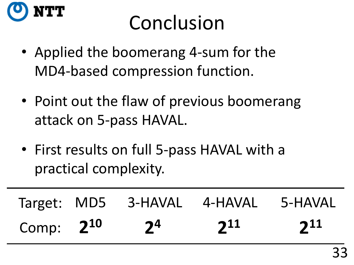

## Conclusion

- Applied the boomerang 4-sum for the MD4-based compression function.
- Point out the flaw of previous boomerang attack on 5-pass HAVAL.
- First results on full 5-pass HAVAL with a practical complexity.

|                |                | Target: MD5 3-HAVAL 4-HAVAL 5-HAVAL |          |
|----------------|----------------|-------------------------------------|----------|
| Comp: $2^{10}$ | 2 <sup>4</sup> | $2^{11}$                            | $2^{11}$ |